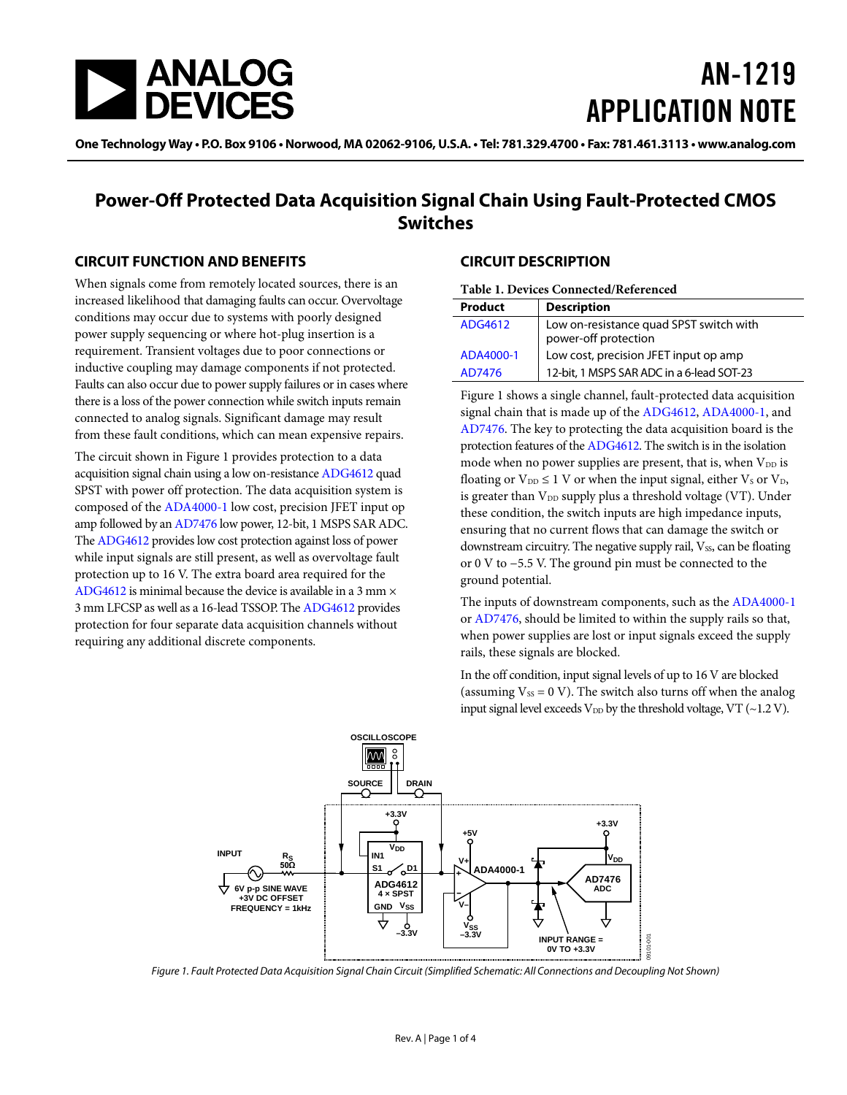

# AN-1219 APPLICATION NOTE

One Technology Way • P.O. Box 9106 • Norwood, MA 02062-9106, U.S.A. • Tel: 781.329.4700 • Fax: 781.461.3113 • www.analog.com

## **Power-Off Protected Data Acquisition Signal Chain Using Fault-Protected CMOS Switches**

### **CIRCUIT FUNCTION AND BENEFITS**

When signals come from remotely located sources, there is an increased likelihood that damaging faults can occur. Overvoltage conditions may occur due to systems with poorly designed power supply sequencing or where hot-plug insertion is a requirement. Transient voltages due to poor connections or inductive coupling may damage components if not protected. Faults can also occur due to power supply failures or in cases where there is a loss of the power connection while switch inputs remain connected to analog signals. Significant damage may result from these fault conditions, which can mean expensive repairs.

The circuit shown i[n Figure 1](#page-0-0) provides protection to a data acquisition signal chain using a low on-resistanc[e ADG4612](http://www.analog.com/ADG4612?doc=AN-1219.pdf) quad SPST with power off protection. The data acquisition system is composed of the [ADA4000-1](http://www.analog.com/ADA4000-1?doc=AN-1219.pdf) low cost, precision JFET input op amp followed by a[n AD7476](http://www.analog.com/AD7476?doc=AN-1219.pdf) low power, 12-bit, 1 MSPS SAR ADC. Th[e ADG4612](http://www.analog.com/ADG4612?doc=AN-1219.pdf) provides low cost protection against loss of power while input signals are still present, as well as overvoltage fault protection up to 16 V. The extra board area required for the [ADG4612](http://www.analog.com/ADG4612?doc=AN-1219.pdf) is minimal because the device is available in a 3 mm  $\times$ 3 mm LFCSP as well as a 16-lead TSSOP. Th[e ADG4612](http://www.analog.com/ADG4612?doc=AN-1219.pdf) provides protection for four separate data acquisition channels without requiring any additional discrete components.

### **CIRCUIT DESCRIPTION**

| Product   | <b>Description</b>                                              |
|-----------|-----------------------------------------------------------------|
| ADG4612   | Low on-resistance quad SPST switch with<br>power-off protection |
| ADA4000-1 | Low cost, precision JFET input op amp                           |
| AD7476    | 12-bit, 1 MSPS SAR ADC in a 6-lead SOT-23                       |

[Figure 1](#page-0-0) shows a single channel, fault-protected data acquisition signal chain that is made up of th[e ADG4612,](http://www.analog.com/ADG4612?doc=AN-1219.pdf) [ADA4000-1,](http://www.analog.com/ADA4000-1?doc=AN-1219.pdf) and [AD7476.](http://www.analog.com/AD7476?doc=AN-1219.pdf) The key to protecting the data acquisition board is the protection features of the [ADG4612.](http://www.analog.com/ADG4612?doc=AN-1219.pdf) The switch is in the isolation mode when no power supplies are present, that is, when  $V_{DD}$  is floating or  $V_{DD} \leq 1$  V or when the input signal, either  $V_S$  or  $V_D$ , is greater than  $V_{DD}$  supply plus a threshold voltage (VT). Under these condition, the switch inputs are high impedance inputs, ensuring that no current flows that can damage the switch or downstream circuitry. The negative supply rail, Vss, can be floating or 0 V to −5.5 V. The ground pin must be connected to the ground potential.

The inputs of downstream components, such as th[e ADA4000-1](http://www.analog.com/ADA4000-1?doc=AN-1219.pdf) o[r AD7476,](http://www.analog.com/AD7476?doc=AN-1219.pdf) should be limited to within the supply rails so that, when power supplies are lost or input signals exceed the supply rails, these signals are blocked.

In the off condition, input signal levels of up to 16 V are blocked (assuming  $V_{SS} = 0$  V). The switch also turns off when the analog input signal level exceeds  $V_{DD}$  by the threshold voltage, VT (~1.2 V).



<span id="page-0-0"></span>*Figure 1. Fault Protected Data Acquisition Signal Chain Circuit (Simplified Schematic: All Connections and Decoupling Not Shown)*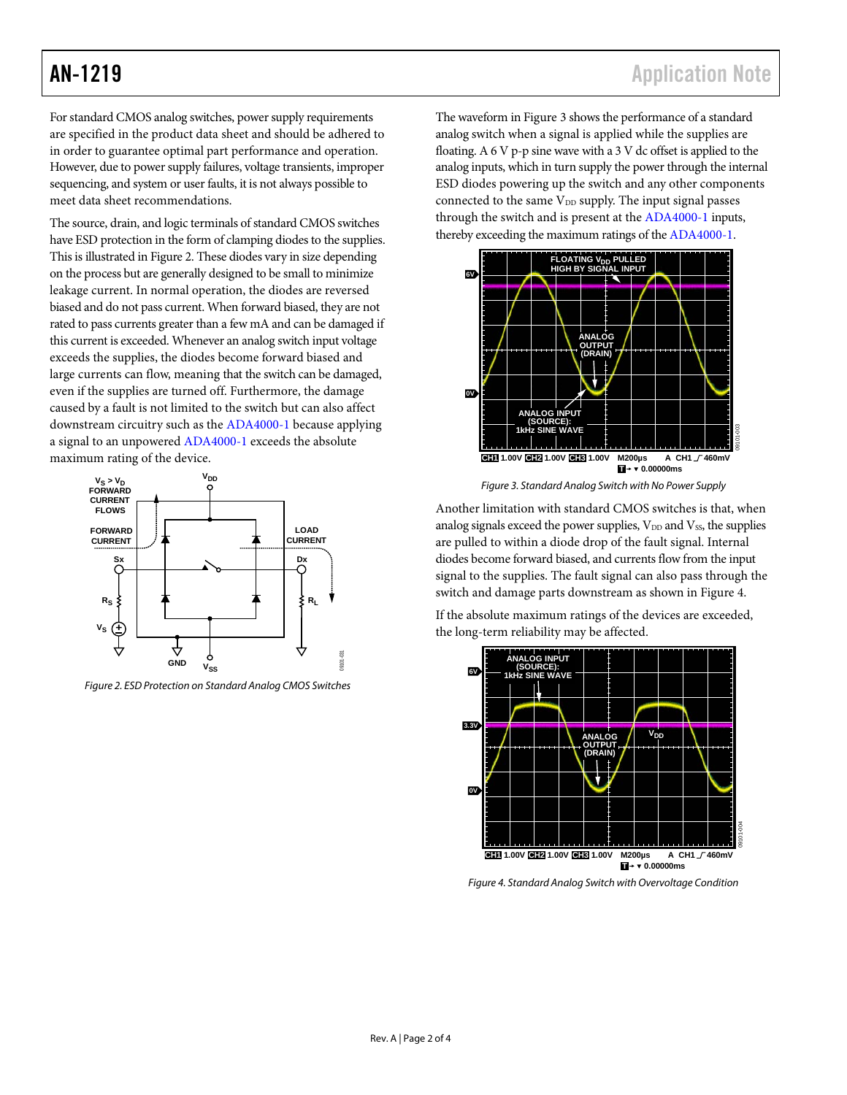For standard CMOS analog switches, power supply requirements are specified in the product data sheet and should be adhered to in order to guarantee optimal part performance and operation. However, due to power supply failures, voltage transients, improper sequencing, and system or user faults, it is not always possible to meet data sheet recommendations.

The source, drain, and logic terminals of standard CMOS switches have ESD protection in the form of clamping diodes to the supplies. This is illustrated in [Figure 2.](#page-1-0) These diodes vary in size depending on the process but are generally designed to be small to minimize leakage current. In normal operation, the diodes are reversed biased and do not pass current. When forward biased, they are not rated to pass currents greater than a few mA and can be damaged if this current is exceeded. Whenever an analog switch input voltage exceeds the supplies, the diodes become forward biased and large currents can flow, meaning that the switch can be damaged, even if the supplies are turned off. Furthermore, the damage caused by a fault is not limited to the switch but can also affect downstream circuitry such as th[e ADA4000-1](http://www.analog.com/ADA4000-1?doc=AN-1219.pdf) because applying a signal to an unpowered [ADA4000-1](http://www.analog.com/ADA4000-1?doc=AN-1219.pdf) exceeds the absolute maximum rating of the device.



<span id="page-1-0"></span>*Figure 2. ESD Protection on Standard Analog CMOS Switches*

The waveform i[n Figure 3](#page-1-1) shows the performance of a standard analog switch when a signal is applied while the supplies are floating. A 6 V p-p sine wave with a 3 V dc offset is applied to the analog inputs, which in turn supply the power through the internal ESD diodes powering up the switch and any other components connected to the same  $V_{DD}$  supply. The input signal passes through the switch and is present at th[e ADA4000-1](http://www.analog.com/ADA4000-1?doc=AN-1219.pdf) inputs, thereby exceeding the maximum ratings of th[e ADA4000-1.](http://www.analog.com/ADA4000-1?doc=AN-1219.pdf)



*Figure 3. Standard Analog Switch with No Power Supply*

<span id="page-1-1"></span>Another limitation with standard CMOS switches is that, when analog signals exceed the power supplies,  $V_{DD}$  and  $V_{SS}$ , the supplies are pulled to within a diode drop of the fault signal. Internal diodes become forward biased, and currents flow from the input signal to the supplies. The fault signal can also pass through the switch and damage parts downstream as shown i[n Figure 4.](#page-1-2)

If the absolute maximum ratings of the devices are exceeded, the long-term reliability may be affected.



<span id="page-1-2"></span>*Figure 4. Standard Analog Switch with Overvoltage Condition*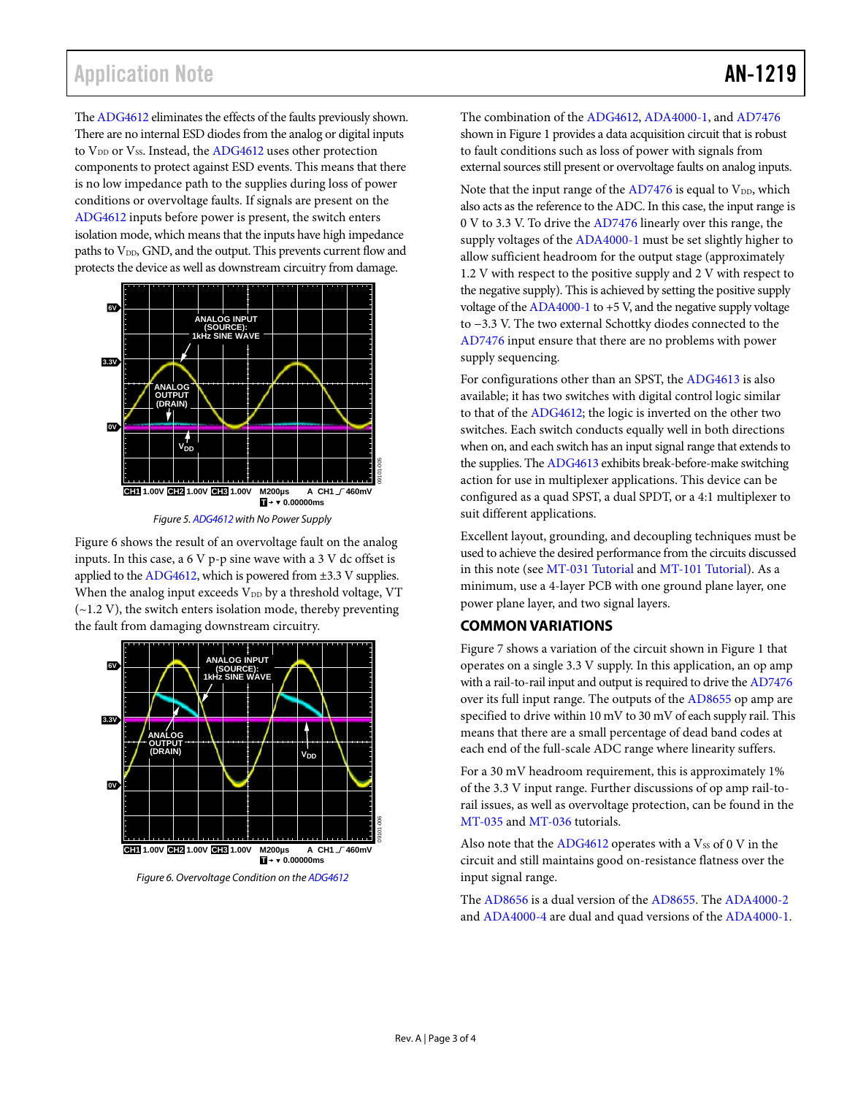Th[e ADG4612](http://www.analog.com/ADG4612?doc=AN-1219.pdf) eliminates the effects of the faults previously shown. There are no internal ESD diodes from the analog or digital inputs to V<sub>DD</sub> or V<sub>SS</sub>. Instead, th[e ADG4612](http://www.analog.com/ADG4612?doc=AN-1219.pdf) uses other protection components to protect against ESD events. This means that there is no low impedance path to the supplies during loss of power conditions or overvoltage faults. If signals are present on the [ADG4612](http://www.analog.com/ADG4612?doc=AN-1219.pdf) inputs before power is present, the switch enters isolation mode, which means that the inputs have high impedance paths to V<sub>DD</sub>, GND, and the output. This prevents current flow and protects the device as well as downstream circuitry from damage.



[Figure 6](#page-2-0) shows the result of an overvoltage fault on the analog inputs. In this case, a  $6V$  p-p sine wave with a  $3V$  dc offset is applied to th[e ADG4612,](http://www.analog.com/ADG4612?doc=AN-1219.pdf) which is powered from ±3.3 V supplies. When the analog input exceeds  $V_{DD}$  by a threshold voltage, VT  $(-1.2 V)$ , the switch enters isolation mode, thereby preventing the fault from damaging downstream circuitry.

<span id="page-2-0"></span>

The combination of th[e ADG4612,](http://www.analog.com/ADG4612?doc=AN-1219.pdf) [ADA4000-1,](http://www.analog.com/ADA4000-1?doc=AN-1219.pdf) an[d AD7476](http://www.analog.com/AD7476?doc=AN-1219.pdf) shown i[n Figure 1](#page-0-0) provides a data acquisition circuit that is robust to fault conditions such as loss of power with signals from external sources still present or overvoltage faults on analog inputs.

Note that the input range of the  $AD7476$  is equal to  $V_{DD}$ , which also acts as the reference to the ADC. In this case, the input range is 0 V to 3.3 V. To drive the [AD7476](http://www.analog.com/AD7476?doc=AN-1219.pdf) linearly over this range, the supply voltages of th[e ADA4000-1](http://www.analog.com/ADA4000-1?doc=AN-1219.pdf) must be set slightly higher to allow sufficient headroom for the output stage (approximately 1.2 V with respect to the positive supply and 2 V with respect to the negative supply). This is achieved by setting the positive supply voltage of the  $ADA4000-1$  to  $+5$  V, and the negative supply voltage to −3.3 V. The two external Schottky diodes connected to the [AD7476](http://www.analog.com/AD7476?doc=AN-1219.pdf) input ensure that there are no problems with power supply sequencing.

For configurations other than an SPST, th[e ADG4613](http://www.analog.com/ADG4613?doc=AN-1219.pdf) is also available; it has two switches with digital control logic similar to that of the [ADG4612;](http://www.analog.com/ADG4612?doc=AN-1219.pdf) the logic is inverted on the other two switches. Each switch conducts equally well in both directions when on, and each switch has an input signal range that extends to the supplies. Th[e ADG4613](http://www.analog.com/ADG4613?doc=AN-1219.pdf) exhibits break-before-make switching action for use in multiplexer applications. This device can be configured as a quad SPST, a dual SPDT, or a 4:1 multiplexer to suit different applications.

Excellent layout, grounding, and decoupling techniques must be used to achieve the desired performance from the circuits discussed in this note (see [MT-031 Tutorial](http://www.analog.com/mt-031?doc=AN-1219.pdf) and [MT-101 Tutorial\)](http://www.analog.com/mt-101?doc=AN-1219.pdf). As a minimum, use a 4-layer PCB with one ground plane layer, one power plane layer, and two signal layers.

### **COMMON VARIATIONS**

[Figure 7](#page-3-0) shows a variation of the circuit shown i[n Figure 1](#page-0-0) that operates on a single 3.3 V supply. In this application, an op amp with a rail-to-rail input and output is required to drive th[e AD7476](http://www.analog.com/AD7476?doc=AN-1219.pdf) over its full input range. The outputs of the [AD8655](http://www.analog.com/AD8655?doc=AN-1219.pdf) op amp are specified to drive within 10 mV to 30 mV of each supply rail. This means that there are a small percentage of dead band codes at each end of the full-scale ADC range where linearity suffers.

For a 30 mV headroom requirement, this is approximately 1% of the 3.3 V input range. Further discussions of op amp rail-torail issues, as well as overvoltage protection, can be found in the [MT-035](http://www.analog.com/MT-035?doc=AN-1219.pdf) an[d MT-036](http://www.analog.com/MT-036?doc=AN-1219.pdf) tutorials.

Also note that the  $ADG4612$  operates with a  $V_{SS}$  of 0 V in the circuit and still maintains good on-resistance flatness over the input signal range.

The [AD8656](http://www.analog.com/AD8656?doc=AN-1219.pdf) is a dual version of the [AD8655.](http://www.analog.com/AD8655?doc=AN-1219.pdf) Th[e ADA4000-2](http://www.analog.com/ADA4000-2?doc=AN-1219.pdf) an[d ADA4000-4](http://www.analog.com/ADA4000-4?doc=AN-1219.pdf) are dual and quad versions of th[e ADA4000-1.](http://www.analog.com/ADA4000-1?doc=AN-1219.pdf)